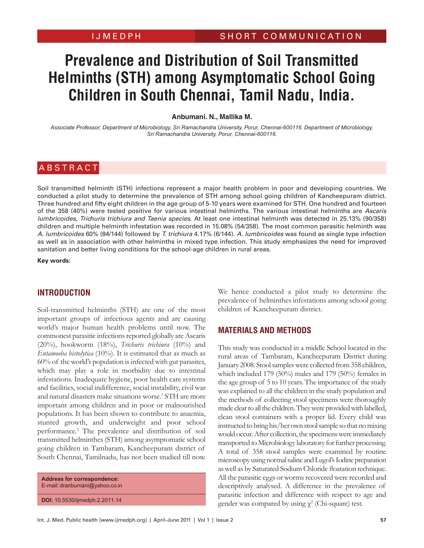# **Prevalence and Distribution of Soil Transmitted Helminths (STH) among Asymptomatic School Going Children in South Chennai, Tamil Nadu, India.**

#### **Anbumani. N., Mallika M.**

*Associate Professor, Department of Microbiology, Sri Ramachandra University, Porur, Chennai-600116. Department of Microbiology, Sri Ramachandra University, Porur, Chennai-600116.*

## **ABSTRACT**

Soil transmitted helminth (STH) infections represent a major health problem in poor and developing countries. We conducted a pilot study to determine the prevalence of STH among school going children of Kancheepuram district. Three hundred and fifty eight children in the age group of 5-10 years were examined for STH. One hundred and fourteen of the 358 (40%) were tested positive for various intestinal helminths. The various intestinal helminths are Ascaris lumbricoides, Trichuris trichiura and Taenia species. At least one intestinal helminth was detected in 25.13% (90/358) children and multiple helminth infestation was recorded in 15.08% (54/358). The most common parasitic helminth was A. lumbricoides 60% (84/144) followed by T. trichiura 4.17% (6/144). A. lumbricoides was found as single type infection as well as in association with other helminths in mixed type infection. This study emphasizes the need for improved sanitation and better living conditions for the school-age children in rural areas.

**Key words:**

#### **Introduction**

Soil-transmitted helminths (STH) are one of the most important groups of infectious agents and are causing world's major human health problems until now. The commonest parasitic infections reported globally are Ascaris (20%), hookworm (18%), *Trichuris trichiura* (10%) and *Entamoeba histolytica* (10%). It is estimated that as much as 60% of the world's population is infected with gut parasites, which may play a role in morbidity due to intestinal infestations. Inadequate hygiene, poor health care systems and facilities, social indifference, social instability, civil war and natural disasters make situations worse.<sup>1</sup> STH are more important among children and in poor or malnourished populations. It has been shown to contribute to anaemia, stunted growth, and underweight and poor school performance.2 The prevalence and distribution of soil transmitted helminthes (STH) among asymptomatic school going children in Tambaram, Kancheepuram district of South Chennai, Tamilnadu, has not been studied till now.

**Address for correspondence:** E-mail: dranbumani@yahoo.co.in

**DOI:** 10.5530/ijmedph.2.2011.14

We hence conducted a pilot study to determine the prevalence of helminthes infestations among school going children of Kancheepuram district.

#### **Materials and Methods**

This study was conducted in a middle School located in the rural areas of Tambaram, Kancheepuram District during January 2008. Stool samples were collected from 358 children, which included 179 (50%) males and 179 (50%) females in the age group of 5 to 10 years. The importance of the study was explained to all the children in the study population and the methods of collecting stool specimens were thoroughly made clear to all the children. They were provided with labelled, clean stool containers with a proper lid. Every child was instructed to bring his/her own stool sample so that no mixing would occur. After collection, the specimens were immediately transported to Microbiology laboratory for further processing. A total of 358 stool samples were examined by routine microscopy using normal saline and Lugol's Iodine preparation as well as by Saturated Sodium Chloride floatation technique. All the parasitic eggs or worms recovered were recorded and descriptively analysed. A difference in the prevalence of parasitic infection and difference with respect to age and gender was compared by using  $\chi^2$  (Chi-square) test.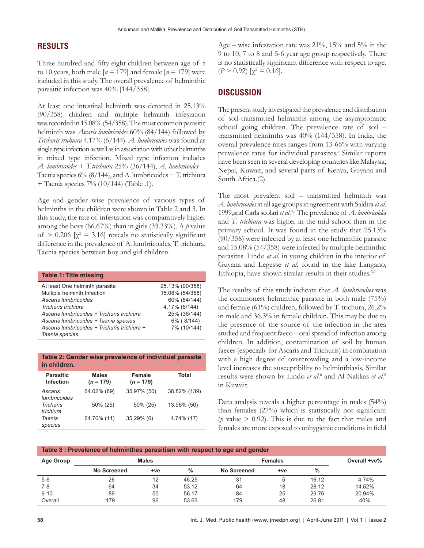#### **RESULTS**

Three hundred and fifty eight children between age of 5 to 10 years, both male  $[n = 179]$  and female  $[n = 179]$  were included in this study. The overall prevalence of helminthic parasitic infection was 40% [144/358].

At least one intestinal helminth was detected in 25.13% (90/358) children and multiple helminth infestation was recorded in 15.08% (54/358). The most common parasitic helminth was *Ascaris lumbricoides* 60% (84/144) followed by *Trichuris trichiura* 4.17% (6/144). *A. lumbricoides* was found as single type infection as well as in association with other helminths in mixed type infection. Mixed type infection includes *A. lumbricoides* + *T.trichiura* 25% (36/144), *A. lumbricoides* + Taenia species  $6\%$  (8/144), and A. lumbricoides  $+$  T. trichiura + Taenia species 7% (10/144) (Table .1).

Age and gender wise prevalence of various types of helminths in the children were shown in Table 2 and 3. In this study, the rate of infestation was comparatively higher among the boys (66.67%) than in girls (33.33%). A *p* value of  $> 0.206$  [ $\chi^2 = 3.16$ ] reveals no statistically significant difference in the prevalence of A. lumbricoides, T. trichiura, Taenia species between boy and girl children.

| <b>Table 1: Title missing</b>                |                 |
|----------------------------------------------|-----------------|
| At least One helminth parasite               | 25.13% (90/358) |
| Multiple helminth Infection                  | 15.08% (54/358) |
| Ascaris lumbricoides                         | 60% (84/144)    |
| Trichuris trichiura                          | 4.17% (6/144)   |
| Ascaris lumbricoides + Trichuris trichiura   | 25% (36/144)    |
| Ascaris lumbricoides + Taenia species        | 6% (8/144)      |
| Ascaris lumbricoides + Trichuris trichiura + | 7% (10/144)     |
| Taenia species                               |                 |

**Table 2: Gender wise prevalence of individual parasite in children.**

| <b>Parasitic</b><br><b>Infection</b> | <b>Males</b><br>$(n = 179)$ | Female<br>$(n = 179)$ | Total        |
|--------------------------------------|-----------------------------|-----------------------|--------------|
| Ascaris<br><i>lumbricoides</i>       | 64.02% (89)                 | 35.97% (50)           | 38.82% (139) |
| <b>Trichuris</b><br>trichiura        | 50% (25)                    | 50% (25)              | 13.96% (50)  |
| Taenia<br>species                    | 64.70% (11)                 | 35.29% (6)            | 4.74% (17)   |

Age – wise infestation rate was 21%, 15% and 5% in the 9 to 10, 7 to 8 and 5-6 year age group respectively. There is no statistically significant difference with respect to age.  $(P > 0.92)$  [ $\chi^2 = 0.16$ ].

### **Discussion**

The present study investigated the prevalence and distribution of soil-transmitted helminths among the asymptomatic school going children. The prevalence rate of soil – transmitted helminths was 40% (144/358). In India, the overall prevalence rates ranges from 13-66% with varying prevalence rates for individual parasites.<sup>3</sup> Similar reports have been seen in several developing countries like Malaysia, Nepal, Kuwait, and several parts of Kenya, Guyana and South Africa.(2).

The most prevalent soil – transmitted helminth was *A. lumbricoides* in all age groups in agreement with Saldira *et al*. 1999,and Carla scolari *et al*. 4,5 The prevalence of *A. lumbricoides* and *T. trichiura* was higher in the mid school then in the primary school. It was found in the study that 25.13% (90/358) were infected by at least one helminthic parasite and 15.08% (54/358) were infected by multiple helminthic parasites. Lindo *et al*. in young children in the interior of Guyana and Legesse *et al*. found in the lake Langano, Ethiopia, have shown similar results in their studies.<sup>6,7</sup>

The results of this study indicate that *A. lumbricodies* was the commonest helminthic parasite in both male (75%) and female (61%) children, followed by T. trichura, 26.2% in male and 36.3% in female children. This may be due to the presence of the source of the infection in the area studied and frequent faeco – oral spread of infection among children. In addition, contamination of soil by human faeces (especially for Ascaris and Trichuris) in combination with a high degree of overcrowding and a low-income level increases the susceptibility to helminthiasis. Similar results were shown by Lindo *et al.*<sup>6</sup> and Al-Nakkas *et al.*<sup>8</sup> in Kuwait.

Data analysis reveals a higher percentage in males (54%) than females (27%) which is statistically not significant ( $\phi$  value  $> 0.92$ ). This is due to the fact that males and females are more exposed to unhygienic conditions in field

| Table 3: Prevalence of helminthes parasitism with respect to age and gender |              |     |       |                |              |       |              |  |  |
|-----------------------------------------------------------------------------|--------------|-----|-------|----------------|--------------|-------|--------------|--|--|
| Age Group                                                                   | <b>Males</b> |     |       | <b>Females</b> |              |       | Overall +ve% |  |  |
|                                                                             | No Screened  | +ve | $\%$  | No Screened    | $+ve$        | %     |              |  |  |
| $5-6$                                                                       | 26           | 12  | 46.25 | 31             | $\mathbf{b}$ | 16.12 | 4.74%        |  |  |
| $7 - 8$                                                                     | 64           | 34  | 53.12 | 64             | 18           | 28.12 | 14.52%       |  |  |
| $9 - 10$                                                                    | 89           | 50  | 56.17 | 84             | 25           | 29.76 | 20.94%       |  |  |
| Overall                                                                     | 179          | 96  | 53.63 | 179            | 48           | 26.81 | 40%          |  |  |